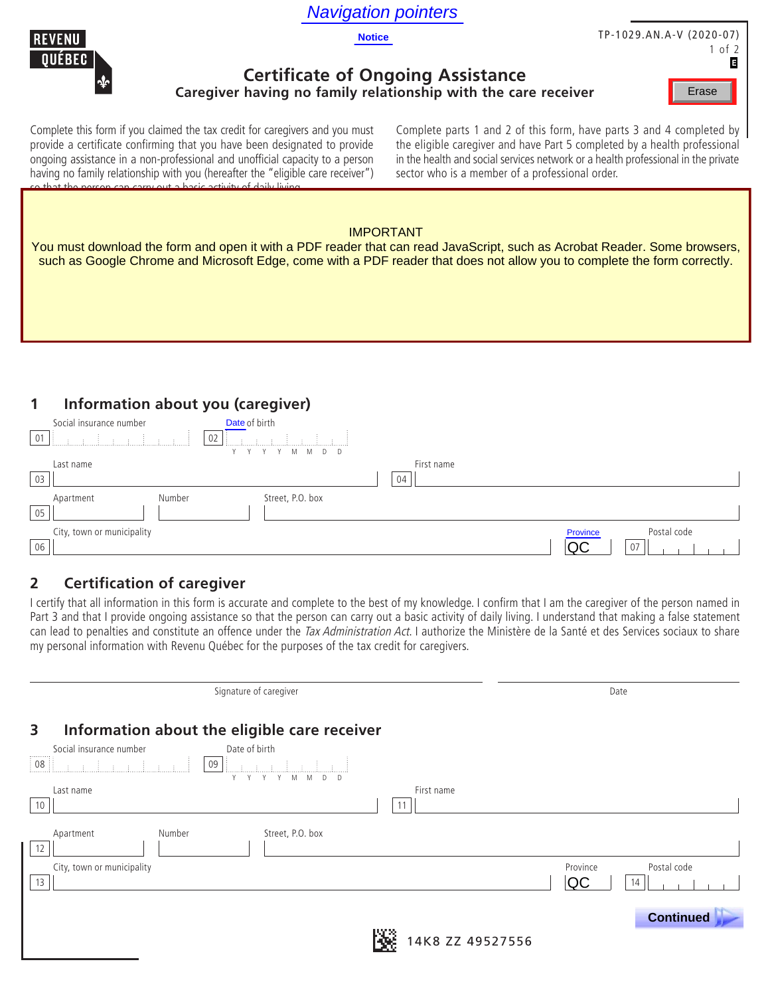## Navigation pointers





# TP-1029.AN.A-V (2020-07)

1 of 2 В

#### **Certificate of Ongoing Assistance Caregiver having no family relationship with the care receiver**

Erase

Complete this form if you claimed the tax credit for caregivers and you must provide a certificate confirming that you have been designated to provide ongoing assistance in a non-professional and unofficial capacity to a person having no family relationship with you (hereafter the "eligible care receiver") so that the person can carry out a basic activity of daily living.

Complete parts 1 and 2 of this form, have parts 3 and 4 completed by the eligible caregiver and have Part 5 completed by a health professional in the health and social services network or a health professional in the private sector who is a member of a professional order.

#### Certificate (federal form T2201) must have been completed to confirm that to one of the following addresses: IMPORTANT

You must download the form and open it with a PDF reader that can read JavaScript, such as Acrobat Reader. Some browsers, our must download the form and open it with a FDF-reader the such as Google Chrome and Microsoft Edge, come with a PDF reader that does not allow you to complete the form correctly.

#### **1 Information about you (caregiver)**

| 01 | Social insurance number    | Date of birth<br> 02       |    |            |                |                   |
|----|----------------------------|----------------------------|----|------------|----------------|-------------------|
| 03 | Last name                  | YYYMMDD                    | 04 | First name |                |                   |
| 05 | Apartment                  | Street, P.O. box<br>Number |    |            |                |                   |
| 06 | City, town or municipality |                            |    |            | Province<br>QC | Postal code<br>07 |

### **2 Certification of caregiver**

|                                                                                                                                                            |                  | QC<br>07                |
|------------------------------------------------------------------------------------------------------------------------------------------------------------|------------------|-------------------------|
| <b>Certification of caregiver</b>                                                                                                                          |                  |                         |
| I certify that all information in this form is accurate and complete to the best of my knowledge. I confirm that I am the caregiver of the person named in |                  |                         |
| Part 3 and that I provide ongoing assistance so that the person can carry out a basic activity of daily living. I understand that making a false statement |                  |                         |
| can lead to penalties and constitute an offence under the Tax Administration Act. I authorize the Ministère de la Santé et des Services sociaux to share   |                  |                         |
| my personal information with Revenu Québec for the purposes of the tax credit for caregivers.                                                              |                  |                         |
|                                                                                                                                                            |                  |                         |
| Signature of caregiver                                                                                                                                     |                  | Date                    |
|                                                                                                                                                            |                  |                         |
| Information about the eligible care receiver                                                                                                               |                  |                         |
| Social insurance number<br>Date of birth                                                                                                                   |                  |                         |
| <u> 1999 - James Barnathal</u>                                                                                                                             |                  |                         |
|                                                                                                                                                            |                  |                         |
| Last name                                                                                                                                                  | First name       |                         |
|                                                                                                                                                            | 11               |                         |
| Street, P.O. box<br>Apartment<br>Number                                                                                                                    |                  |                         |
|                                                                                                                                                            |                  |                         |
| City, town or municipality                                                                                                                                 |                  | Postal code<br>Province |
|                                                                                                                                                            |                  | QC<br>14                |
|                                                                                                                                                            |                  |                         |
|                                                                                                                                                            |                  | <b>Continued</b>        |
|                                                                                                                                                            | 14K8 ZZ 49527556 |                         |
|                                                                                                                                                            |                  |                         |